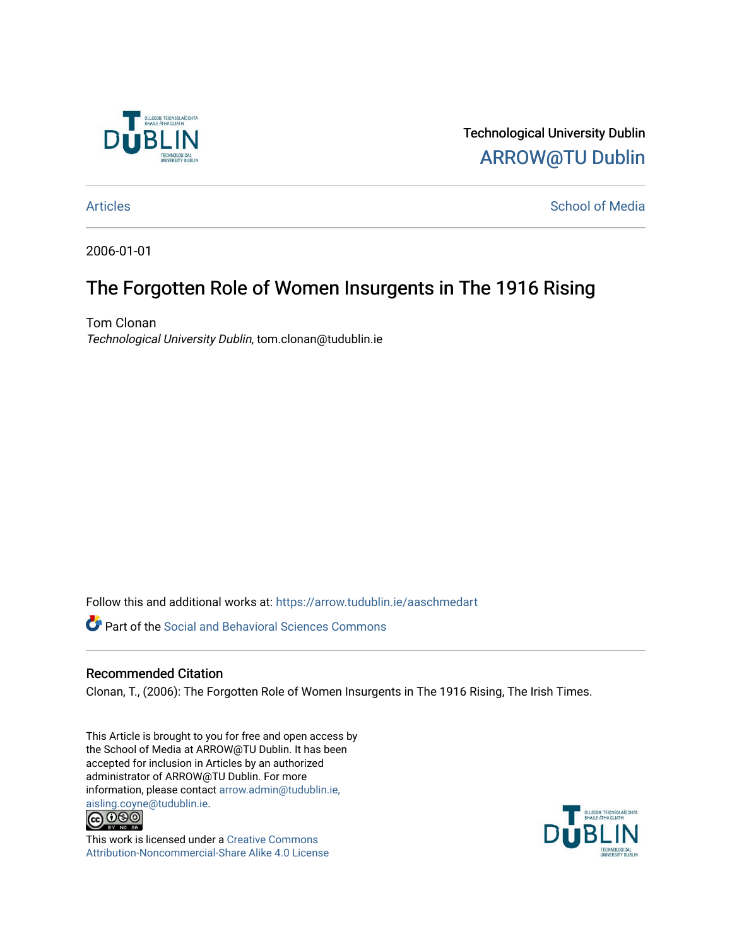

Technological University Dublin [ARROW@TU Dublin](https://arrow.tudublin.ie/) 

[Articles](https://arrow.tudublin.ie/aaschmedart) **School of Media** 

2006-01-01

## The Forgotten Role of Women Insurgents in The 1916 Rising

Tom Clonan Technological University Dublin, tom.clonan@tudublin.ie

Follow this and additional works at: [https://arrow.tudublin.ie/aaschmedart](https://arrow.tudublin.ie/aaschmedart?utm_source=arrow.tudublin.ie%2Faaschmedart%2F49&utm_medium=PDF&utm_campaign=PDFCoverPages) 

**P** Part of the Social and Behavioral Sciences Commons

## Recommended Citation

Clonan, T., (2006): The Forgotten Role of Women Insurgents in The 1916 Rising, The Irish Times.

This Article is brought to you for free and open access by the School of Media at ARROW@TU Dublin. It has been accepted for inclusion in Articles by an authorized administrator of ARROW@TU Dublin. For more information, please contact [arrow.admin@tudublin.ie,](mailto:arrow.admin@tudublin.ie,%20aisling.coyne@tudublin.ie)  [aisling.coyne@tudublin.ie.](mailto:arrow.admin@tudublin.ie,%20aisling.coyne@tudublin.ie)<br>© 090



This work is licensed under a [Creative Commons](http://creativecommons.org/licenses/by-nc-sa/4.0/) [Attribution-Noncommercial-Share Alike 4.0 License](http://creativecommons.org/licenses/by-nc-sa/4.0/)

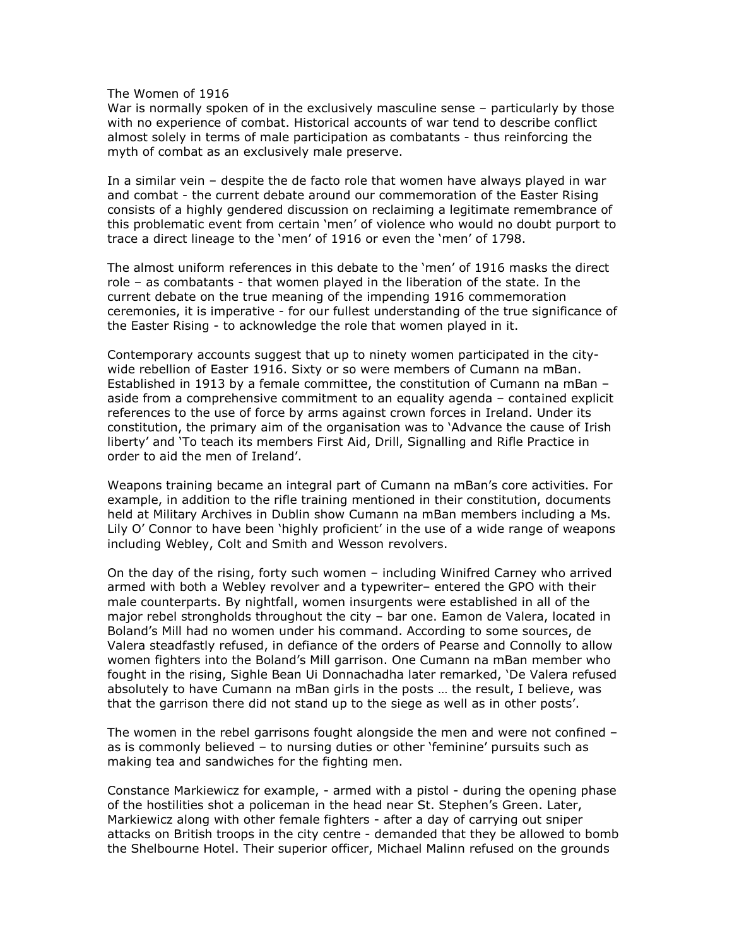The Women of 1916

War is normally spoken of in the exclusively masculine sense – particularly by those with no experience of combat. Historical accounts of war tend to describe conflict almost solely in terms of male participation as combatants - thus reinforcing the myth of combat as an exclusively male preserve.

In a similar vein – despite the de facto role that women have always played in war and combat - the current debate around our commemoration of the Easter Rising consists of a highly gendered discussion on reclaiming a legitimate remembrance of this problematic event from certain 'men' of violence who would no doubt purport to trace a direct lineage to the 'men' of 1916 or even the 'men' of 1798.

The almost uniform references in this debate to the 'men' of 1916 masks the direct role – as combatants - that women played in the liberation of the state. In the current debate on the true meaning of the impending 1916 commemoration ceremonies, it is imperative - for our fullest understanding of the true significance of the Easter Rising - to acknowledge the role that women played in it.

Contemporary accounts suggest that up to ninety women participated in the citywide rebellion of Easter 1916. Sixty or so were members of Cumann na mBan. Established in 1913 by a female committee, the constitution of Cumann na mBan – aside from a comprehensive commitment to an equality agenda – contained explicit references to the use of force by arms against crown forces in Ireland. Under its constitution, the primary aim of the organisation was to 'Advance the cause of Irish liberty' and 'To teach its members First Aid, Drill, Signalling and Rifle Practice in order to aid the men of Ireland'.

Weapons training became an integral part of Cumann na mBan's core activities. For example, in addition to the rifle training mentioned in their constitution, documents held at Military Archives in Dublin show Cumann na mBan members including a Ms. Lily O' Connor to have been 'highly proficient' in the use of a wide range of weapons including Webley, Colt and Smith and Wesson revolvers.

On the day of the rising, forty such women – including Winifred Carney who arrived armed with both a Webley revolver and a typewriter– entered the GPO with their male counterparts. By nightfall, women insurgents were established in all of the major rebel strongholds throughout the city – bar one. Eamon de Valera, located in Boland's Mill had no women under his command. According to some sources, de Valera steadfastly refused, in defiance of the orders of Pearse and Connolly to allow women fighters into the Boland's Mill garrison. One Cumann na mBan member who fought in the rising, Sighle Bean Ui Donnachadha later remarked, 'De Valera refused absolutely to have Cumann na mBan girls in the posts … the result, I believe, was that the garrison there did not stand up to the siege as well as in other posts'.

The women in the rebel garrisons fought alongside the men and were not confined – as is commonly believed – to nursing duties or other 'feminine' pursuits such as making tea and sandwiches for the fighting men.

Constance Markiewicz for example, - armed with a pistol - during the opening phase of the hostilities shot a policeman in the head near St. Stephen's Green. Later, Markiewicz along with other female fighters - after a day of carrying out sniper attacks on British troops in the city centre - demanded that they be allowed to bomb the Shelbourne Hotel. Their superior officer, Michael Malinn refused on the grounds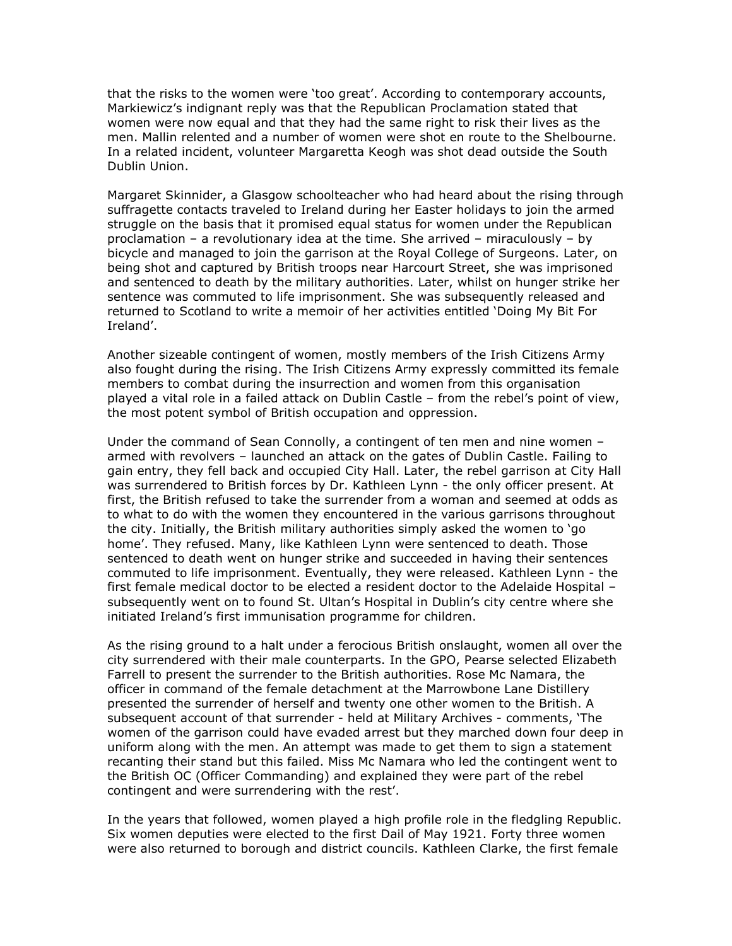that the risks to the women were 'too great'. According to contemporary accounts, Markiewicz's indignant reply was that the Republican Proclamation stated that women were now equal and that they had the same right to risk their lives as the men. Mallin relented and a number of women were shot en route to the Shelbourne. In a related incident, volunteer Margaretta Keogh was shot dead outside the South Dublin Union.

Margaret Skinnider, a Glasgow schoolteacher who had heard about the rising through suffragette contacts traveled to Ireland during her Easter holidays to join the armed struggle on the basis that it promised equal status for women under the Republican proclamation – a revolutionary idea at the time. She arrived – miraculously – by bicycle and managed to join the garrison at the Royal College of Surgeons. Later, on being shot and captured by British troops near Harcourt Street, she was imprisoned and sentenced to death by the military authorities. Later, whilst on hunger strike her sentence was commuted to life imprisonment. She was subsequently released and returned to Scotland to write a memoir of her activities entitled 'Doing My Bit For Ireland'.

Another sizeable contingent of women, mostly members of the Irish Citizens Army also fought during the rising. The Irish Citizens Army expressly committed its female members to combat during the insurrection and women from this organisation played a vital role in a failed attack on Dublin Castle – from the rebel's point of view, the most potent symbol of British occupation and oppression.

Under the command of Sean Connolly, a contingent of ten men and nine women – armed with revolvers – launched an attack on the gates of Dublin Castle. Failing to gain entry, they fell back and occupied City Hall. Later, the rebel garrison at City Hall was surrendered to British forces by Dr. Kathleen Lynn - the only officer present. At first, the British refused to take the surrender from a woman and seemed at odds as to what to do with the women they encountered in the various garrisons throughout the city. Initially, the British military authorities simply asked the women to 'go home'. They refused. Many, like Kathleen Lynn were sentenced to death. Those sentenced to death went on hunger strike and succeeded in having their sentences commuted to life imprisonment. Eventually, they were released. Kathleen Lynn - the first female medical doctor to be elected a resident doctor to the Adelaide Hospital – subsequently went on to found St. Ultan's Hospital in Dublin's city centre where she initiated Ireland's first immunisation programme for children.

As the rising ground to a halt under a ferocious British onslaught, women all over the city surrendered with their male counterparts. In the GPO, Pearse selected Elizabeth Farrell to present the surrender to the British authorities. Rose Mc Namara, the officer in command of the female detachment at the Marrowbone Lane Distillery presented the surrender of herself and twenty one other women to the British. A subsequent account of that surrender - held at Military Archives - comments, 'The women of the garrison could have evaded arrest but they marched down four deep in uniform along with the men. An attempt was made to get them to sign a statement recanting their stand but this failed. Miss Mc Namara who led the contingent went to the British OC (Officer Commanding) and explained they were part of the rebel contingent and were surrendering with the rest'.

In the years that followed, women played a high profile role in the fledgling Republic. Six women deputies were elected to the first Dail of May 1921. Forty three women were also returned to borough and district councils. Kathleen Clarke, the first female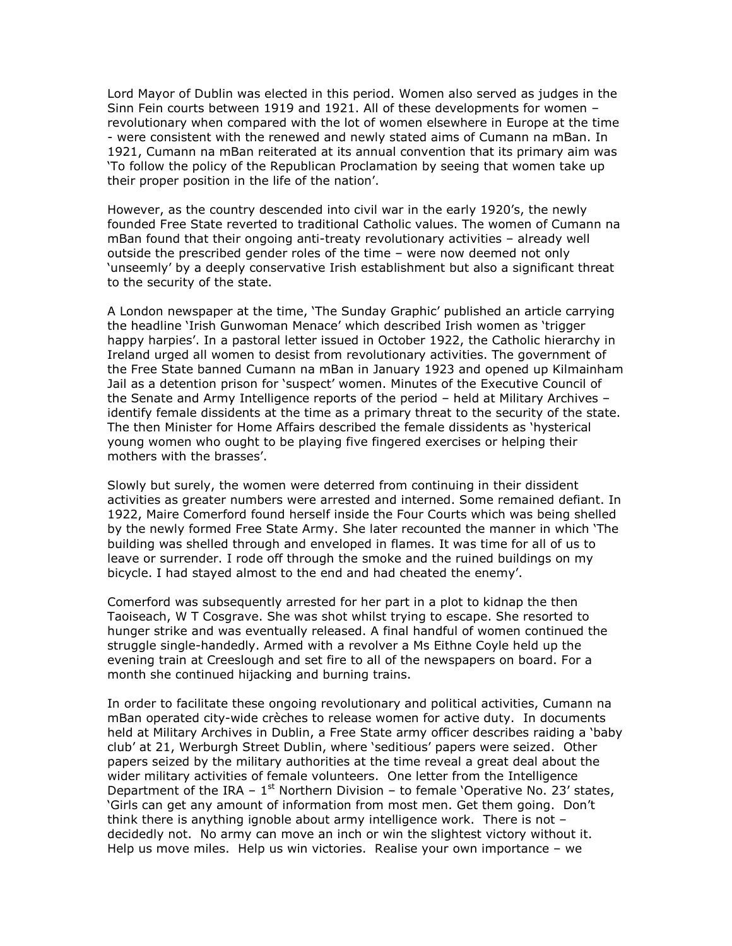Lord Mayor of Dublin was elected in this period. Women also served as judges in the Sinn Fein courts between 1919 and 1921. All of these developments for women – revolutionary when compared with the lot of women elsewhere in Europe at the time - were consistent with the renewed and newly stated aims of Cumann na mBan. In 1921, Cumann na mBan reiterated at its annual convention that its primary aim was 'To follow the policy of the Republican Proclamation by seeing that women take up their proper position in the life of the nation'.

However, as the country descended into civil war in the early 1920's, the newly founded Free State reverted to traditional Catholic values. The women of Cumann na mBan found that their ongoing anti-treaty revolutionary activities – already well outside the prescribed gender roles of the time – were now deemed not only 'unseemly' by a deeply conservative Irish establishment but also a significant threat to the security of the state.

A London newspaper at the time, 'The Sunday Graphic' published an article carrying the headline 'Irish Gunwoman Menace' which described Irish women as 'trigger happy harpies'. In a pastoral letter issued in October 1922, the Catholic hierarchy in Ireland urged all women to desist from revolutionary activities. The government of the Free State banned Cumann na mBan in January 1923 and opened up Kilmainham Jail as a detention prison for 'suspect' women. Minutes of the Executive Council of the Senate and Army Intelligence reports of the period – held at Military Archives – identify female dissidents at the time as a primary threat to the security of the state. The then Minister for Home Affairs described the female dissidents as 'hysterical young women who ought to be playing five fingered exercises or helping their mothers with the brasses'.

Slowly but surely, the women were deterred from continuing in their dissident activities as greater numbers were arrested and interned. Some remained defiant. In 1922, Maire Comerford found herself inside the Four Courts which was being shelled by the newly formed Free State Army. She later recounted the manner in which 'The building was shelled through and enveloped in flames. It was time for all of us to leave or surrender. I rode off through the smoke and the ruined buildings on my bicycle. I had stayed almost to the end and had cheated the enemy'.

Comerford was subsequently arrested for her part in a plot to kidnap the then Taoiseach, W T Cosgrave. She was shot whilst trying to escape. She resorted to hunger strike and was eventually released. A final handful of women continued the struggle single-handedly. Armed with a revolver a Ms Eithne Coyle held up the evening train at Creeslough and set fire to all of the newspapers on board. For a month she continued hijacking and burning trains.

In order to facilitate these ongoing revolutionary and political activities, Cumann na mBan operated city-wide crèches to release women for active duty. In documents held at Military Archives in Dublin, a Free State army officer describes raiding a 'baby club' at 21, Werburgh Street Dublin, where 'seditious' papers were seized. Other papers seized by the military authorities at the time reveal a great deal about the wider military activities of female volunteers. One letter from the Intelligence Department of the IRA –  $1<sup>st</sup>$  Northern Division – to female 'Operative No. 23' states, 'Girls can get any amount of information from most men. Get them going. Don't think there is anything ignoble about army intelligence work. There is not – decidedly not. No army can move an inch or win the slightest victory without it. Help us move miles. Help us win victories. Realise your own importance – we